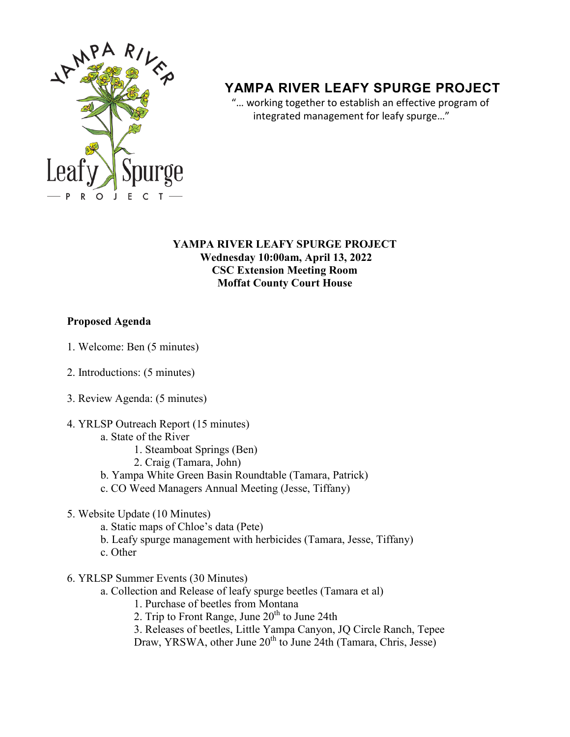

# **YAMPA RIVER LEAFY SPURGE PROJECT**

 "… working together to establish an effective program of integrated management for leafy spurge…"

#### **YAMPA RIVER LEAFY SPURGE PROJECT Wednesday 10:00am, April 13, 2022 CSC Extension Meeting Room Moffat County Court House**

# **Proposed Agenda**

- 1. Welcome: Ben (5 minutes)
- 2. Introductions: (5 minutes)
- 3. Review Agenda: (5 minutes)
- 4. YRLSP Outreach Report (15 minutes)
	- a. State of the River
		- 1. Steamboat Springs (Ben)
		- 2. Craig (Tamara, John)
	- b. Yampa White Green Basin Roundtable (Tamara, Patrick)
	- c. CO Weed Managers Annual Meeting (Jesse, Tiffany)
- 5. Website Update (10 Minutes)
	- a. Static maps of Chloe's data (Pete)
	- b. Leafy spurge management with herbicides (Tamara, Jesse, Tiffany)
	- c. Other
- 6. YRLSP Summer Events (30 Minutes)
	- a. Collection and Release of leafy spurge beetles (Tamara et al)
		- 1. Purchase of beetles from Montana
		- 2. Trip to Front Range, June  $20<sup>th</sup>$  to June 24th
		- 3. Releases of beetles, Little Yampa Canyon, JQ Circle Ranch, Tepee
		- Draw, YRSWA, other June 20<sup>th</sup> to June 24th (Tamara, Chris, Jesse)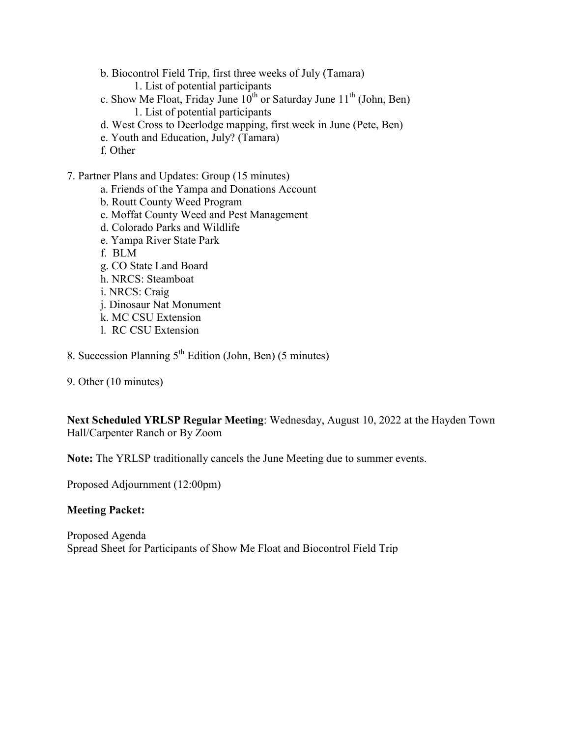b. Biocontrol Field Trip, first three weeks of July (Tamara)

1. List of potential participants

- c. Show Me Float, Friday June  $10^{th}$  or Saturday June  $11^{th}$  (John, Ben)
	- 1. List of potential participants
- d. West Cross to Deerlodge mapping, first week in June (Pete, Ben)
- e. Youth and Education, July? (Tamara)
- f. Other

7. Partner Plans and Updates: Group (15 minutes)

- a. Friends of the Yampa and Donations Account
- b. Routt County Weed Program
- c. Moffat County Weed and Pest Management
- d. Colorado Parks and Wildlife
- e. Yampa River State Park
- f. BLM
- g. CO State Land Board
- h. NRCS: Steamboat
- i. NRCS: Craig
- j. Dinosaur Nat Monument
- k. MC CSU Extension
- l. RC CSU Extension
- 8. Succession Planning  $5<sup>th</sup>$  Edition (John, Ben) (5 minutes)
- 9. Other (10 minutes)

**Next Scheduled YRLSP Regular Meeting**: Wednesday, August 10, 2022 at the Hayden Town Hall/Carpenter Ranch or By Zoom

**Note:** The YRLSP traditionally cancels the June Meeting due to summer events.

Proposed Adjournment (12:00pm)

#### **Meeting Packet:**

Proposed Agenda Spread Sheet for Participants of Show Me Float and Biocontrol Field Trip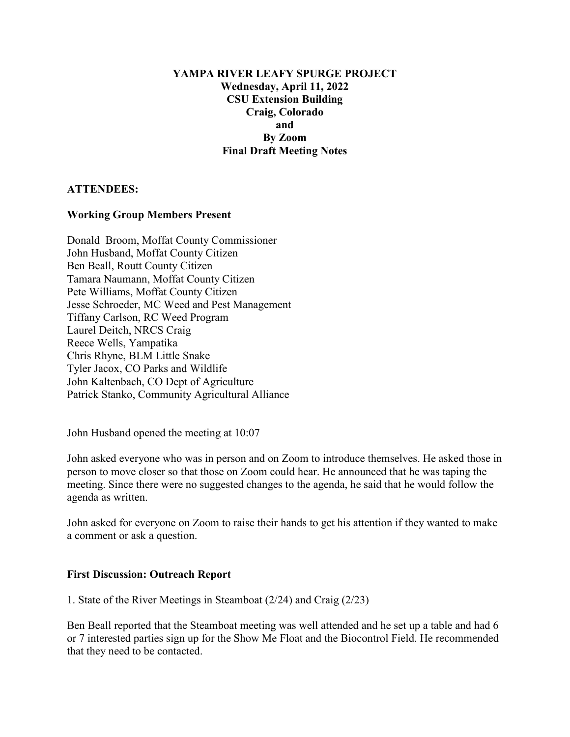#### **YAMPA RIVER LEAFY SPURGE PROJECT Wednesday, April 11, 2022 CSU Extension Building Craig, Colorado and By Zoom Final Draft Meeting Notes**

# **ATTENDEES:**

## **Working Group Members Present**

Donald Broom, Moffat County Commissioner John Husband, Moffat County Citizen Ben Beall, Routt County Citizen Tamara Naumann, Moffat County Citizen Pete Williams, Moffat County Citizen Jesse Schroeder, MC Weed and Pest Management Tiffany Carlson, RC Weed Program Laurel Deitch, NRCS Craig Reece Wells, Yampatika Chris Rhyne, BLM Little Snake Tyler Jacox, CO Parks and Wildlife John Kaltenbach, CO Dept of Agriculture Patrick Stanko, Community Agricultural Alliance

John Husband opened the meeting at 10:07

John asked everyone who was in person and on Zoom to introduce themselves. He asked those in person to move closer so that those on Zoom could hear. He announced that he was taping the meeting. Since there were no suggested changes to the agenda, he said that he would follow the agenda as written.

John asked for everyone on Zoom to raise their hands to get his attention if they wanted to make a comment or ask a question.

#### **First Discussion: Outreach Report**

1. State of the River Meetings in Steamboat (2/24) and Craig (2/23)

Ben Beall reported that the Steamboat meeting was well attended and he set up a table and had 6 or 7 interested parties sign up for the Show Me Float and the Biocontrol Field. He recommended that they need to be contacted.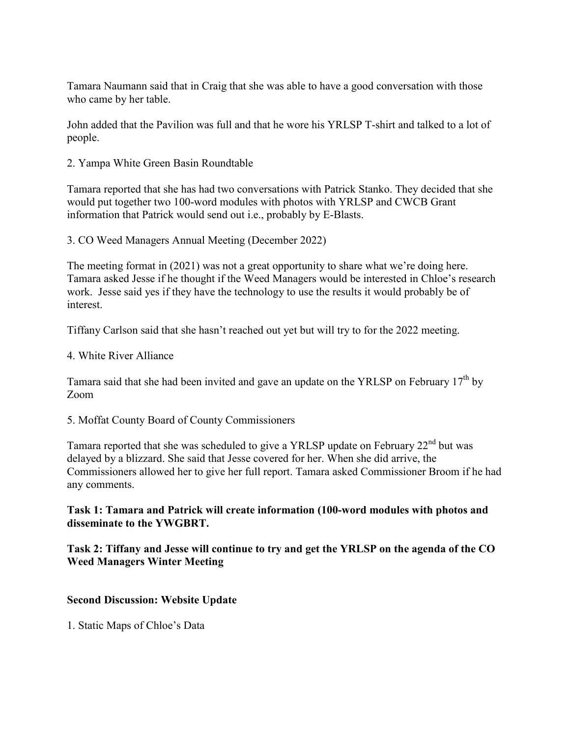Tamara Naumann said that in Craig that she was able to have a good conversation with those who came by her table.

John added that the Pavilion was full and that he wore his YRLSP T-shirt and talked to a lot of people.

2. Yampa White Green Basin Roundtable

Tamara reported that she has had two conversations with Patrick Stanko. They decided that she would put together two 100-word modules with photos with YRLSP and CWCB Grant information that Patrick would send out i.e., probably by E-Blasts.

3. CO Weed Managers Annual Meeting (December 2022)

The meeting format in (2021) was not a great opportunity to share what we're doing here. Tamara asked Jesse if he thought if the Weed Managers would be interested in Chloe's research work. Jesse said yes if they have the technology to use the results it would probably be of interest.

Tiffany Carlson said that she hasn't reached out yet but will try to for the 2022 meeting.

4. White River Alliance

Tamara said that she had been invited and gave an update on the YRLSP on February  $17<sup>th</sup>$  by Zoom

5. Moffat County Board of County Commissioners

Tamara reported that she was scheduled to give a YRLSP update on February 22<sup>nd</sup> but was delayed by a blizzard. She said that Jesse covered for her. When she did arrive, the Commissioners allowed her to give her full report. Tamara asked Commissioner Broom if he had any comments.

# **Task 1: Tamara and Patrick will create information (100-word modules with photos and disseminate to the YWGBRT.**

## **Task 2: Tiffany and Jesse will continue to try and get the YRLSP on the agenda of the CO Weed Managers Winter Meeting**

# **Second Discussion: Website Update**

1. Static Maps of Chloe's Data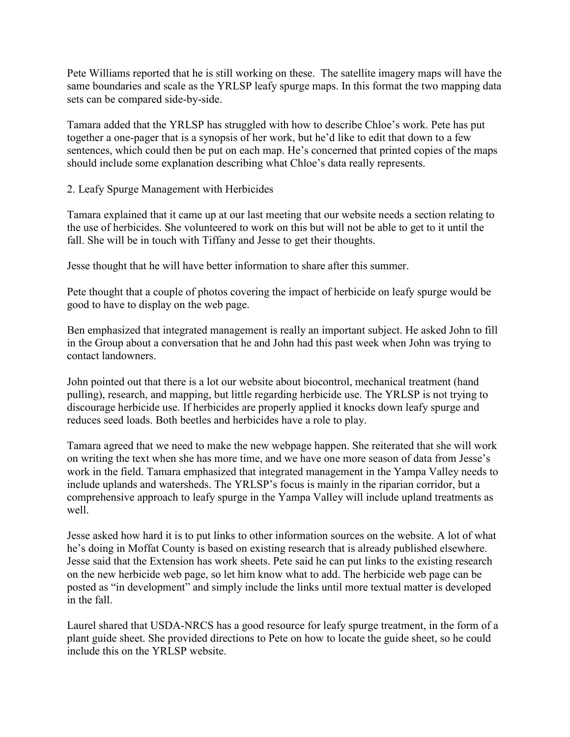Pete Williams reported that he is still working on these. The satellite imagery maps will have the same boundaries and scale as the YRLSP leafy spurge maps. In this format the two mapping data sets can be compared side-by-side.

Tamara added that the YRLSP has struggled with how to describe Chloe's work. Pete has put together a one-pager that is a synopsis of her work, but he'd like to edit that down to a few sentences, which could then be put on each map. He's concerned that printed copies of the maps should include some explanation describing what Chloe's data really represents.

2. Leafy Spurge Management with Herbicides

Tamara explained that it came up at our last meeting that our website needs a section relating to the use of herbicides. She volunteered to work on this but will not be able to get to it until the fall. She will be in touch with Tiffany and Jesse to get their thoughts.

Jesse thought that he will have better information to share after this summer.

Pete thought that a couple of photos covering the impact of herbicide on leafy spurge would be good to have to display on the web page.

Ben emphasized that integrated management is really an important subject. He asked John to fill in the Group about a conversation that he and John had this past week when John was trying to contact landowners.

John pointed out that there is a lot our website about biocontrol, mechanical treatment (hand pulling), research, and mapping, but little regarding herbicide use. The YRLSP is not trying to discourage herbicide use. If herbicides are properly applied it knocks down leafy spurge and reduces seed loads. Both beetles and herbicides have a role to play.

Tamara agreed that we need to make the new webpage happen. She reiterated that she will work on writing the text when she has more time, and we have one more season of data from Jesse's work in the field. Tamara emphasized that integrated management in the Yampa Valley needs to include uplands and watersheds. The YRLSP's focus is mainly in the riparian corridor, but a comprehensive approach to leafy spurge in the Yampa Valley will include upland treatments as well.

Jesse asked how hard it is to put links to other information sources on the website. A lot of what he's doing in Moffat County is based on existing research that is already published elsewhere. Jesse said that the Extension has work sheets. Pete said he can put links to the existing research on the new herbicide web page, so let him know what to add. The herbicide web page can be posted as "in development" and simply include the links until more textual matter is developed in the fall.

Laurel shared that USDA-NRCS has a good resource for leafy spurge treatment, in the form of a plant guide sheet. She provided directions to Pete on how to locate the guide sheet, so he could include this on the YRLSP website.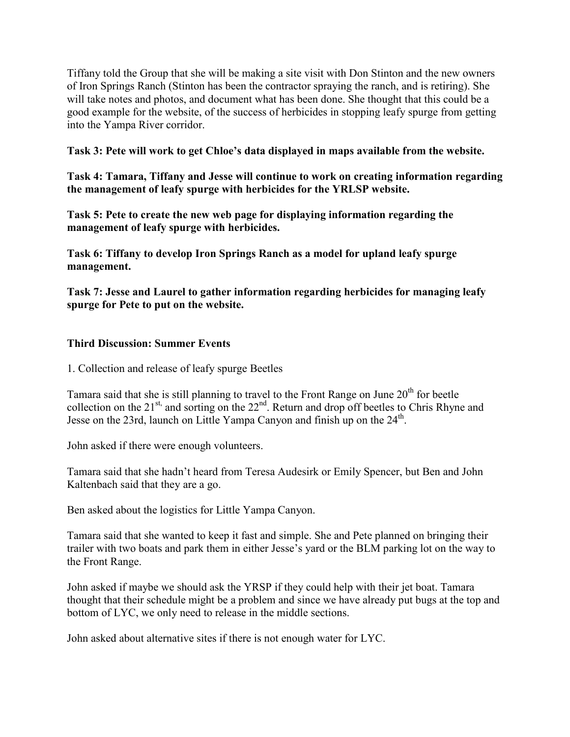Tiffany told the Group that she will be making a site visit with Don Stinton and the new owners of Iron Springs Ranch (Stinton has been the contractor spraying the ranch, and is retiring). She will take notes and photos, and document what has been done. She thought that this could be a good example for the website, of the success of herbicides in stopping leafy spurge from getting into the Yampa River corridor.

## **Task 3: Pete will work to get Chloe's data displayed in maps available from the website.**

**Task 4: Tamara, Tiffany and Jesse will continue to work on creating information regarding the management of leafy spurge with herbicides for the YRLSP website.**

**Task 5: Pete to create the new web page for displaying information regarding the management of leafy spurge with herbicides.**

**Task 6: Tiffany to develop Iron Springs Ranch as a model for upland leafy spurge management.**

**Task 7: Jesse and Laurel to gather information regarding herbicides for managing leafy spurge for Pete to put on the website.**

## **Third Discussion: Summer Events**

1. Collection and release of leafy spurge Beetles

Tamara said that she is still planning to travel to the Front Range on June 20<sup>th</sup> for beetle collection on the 21<sup>st,</sup> and sorting on the  $22<sup>nd</sup>$ . Return and drop off beetles to Chris Rhyne and Jesse on the 23rd, launch on Little Yampa Canyon and finish up on the  $24<sup>th</sup>$ .

John asked if there were enough volunteers.

Tamara said that she hadn't heard from Teresa Audesirk or Emily Spencer, but Ben and John Kaltenbach said that they are a go.

Ben asked about the logistics for Little Yampa Canyon.

Tamara said that she wanted to keep it fast and simple. She and Pete planned on bringing their trailer with two boats and park them in either Jesse's yard or the BLM parking lot on the way to the Front Range.

John asked if maybe we should ask the YRSP if they could help with their jet boat. Tamara thought that their schedule might be a problem and since we have already put bugs at the top and bottom of LYC, we only need to release in the middle sections.

John asked about alternative sites if there is not enough water for LYC.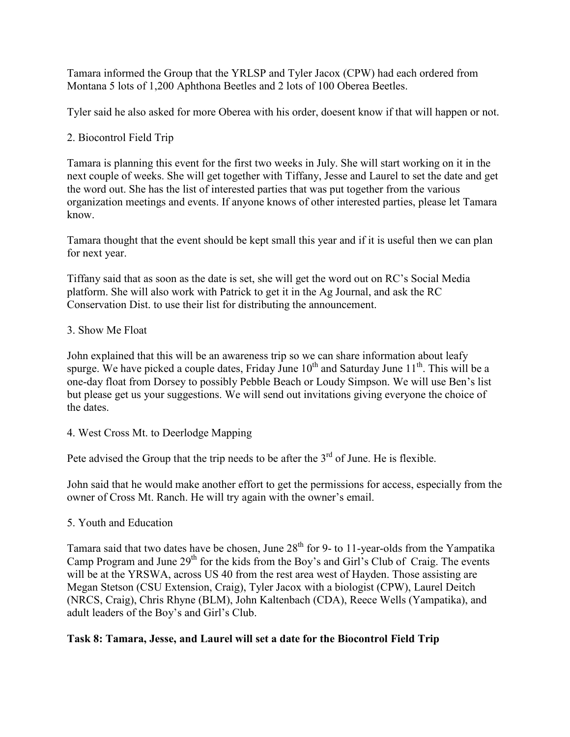Tamara informed the Group that the YRLSP and Tyler Jacox (CPW) had each ordered from Montana 5 lots of 1,200 Aphthona Beetles and 2 lots of 100 Oberea Beetles.

Tyler said he also asked for more Oberea with his order, doesent know if that will happen or not.

# 2. Biocontrol Field Trip

Tamara is planning this event for the first two weeks in July. She will start working on it in the next couple of weeks. She will get together with Tiffany, Jesse and Laurel to set the date and get the word out. She has the list of interested parties that was put together from the various organization meetings and events. If anyone knows of other interested parties, please let Tamara know.

Tamara thought that the event should be kept small this year and if it is useful then we can plan for next year.

Tiffany said that as soon as the date is set, she will get the word out on RC's Social Media platform. She will also work with Patrick to get it in the Ag Journal, and ask the RC Conservation Dist. to use their list for distributing the announcement.

# 3. Show Me Float

John explained that this will be an awareness trip so we can share information about leafy spurge. We have picked a couple dates, Friday June  $10^{th}$  and Saturday June  $11^{th}$ . This will be a one-day float from Dorsey to possibly Pebble Beach or Loudy Simpson. We will use Ben's list but please get us your suggestions. We will send out invitations giving everyone the choice of the dates.

# 4. West Cross Mt. to Deerlodge Mapping

Pete advised the Group that the trip needs to be after the  $3<sup>rd</sup>$  of June. He is flexible.

John said that he would make another effort to get the permissions for access, especially from the owner of Cross Mt. Ranch. He will try again with the owner's email.

# 5. Youth and Education

Tamara said that two dates have be chosen, June  $28<sup>th</sup>$  for 9- to 11-year-olds from the Yampatika Camp Program and June 29<sup>th</sup> for the kids from the Boy's and Girl's Club of Craig. The events will be at the YRSWA, across US 40 from the rest area west of Hayden. Those assisting are Megan Stetson (CSU Extension, Craig), Tyler Jacox with a biologist (CPW), Laurel Deitch (NRCS, Craig), Chris Rhyne (BLM), John Kaltenbach (CDA), Reece Wells (Yampatika), and adult leaders of the Boy's and Girl's Club.

# **Task 8: Tamara, Jesse, and Laurel will set a date for the Biocontrol Field Trip**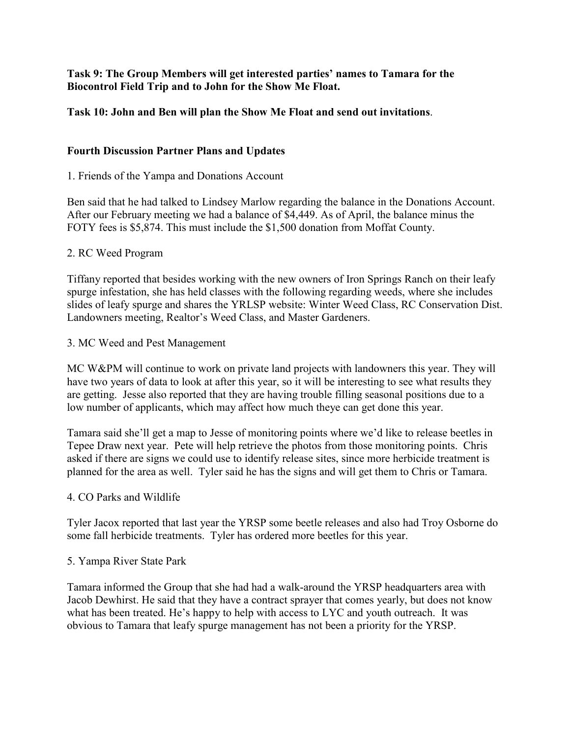# **Task 9: The Group Members will get interested parties' names to Tamara for the Biocontrol Field Trip and to John for the Show Me Float.**

# **Task 10: John and Ben will plan the Show Me Float and send out invitations**.

## **Fourth Discussion Partner Plans and Updates**

#### 1. Friends of the Yampa and Donations Account

Ben said that he had talked to Lindsey Marlow regarding the balance in the Donations Account. After our February meeting we had a balance of \$4,449. As of April, the balance minus the FOTY fees is \$5,874. This must include the \$1,500 donation from Moffat County.

#### 2. RC Weed Program

Tiffany reported that besides working with the new owners of Iron Springs Ranch on their leafy spurge infestation, she has held classes with the following regarding weeds, where she includes slides of leafy spurge and shares the YRLSP website: Winter Weed Class, RC Conservation Dist. Landowners meeting, Realtor's Weed Class, and Master Gardeners.

#### 3. MC Weed and Pest Management

MC W&PM will continue to work on private land projects with landowners this year. They will have two years of data to look at after this year, so it will be interesting to see what results they are getting. Jesse also reported that they are having trouble filling seasonal positions due to a low number of applicants, which may affect how much theye can get done this year.

Tamara said she'll get a map to Jesse of monitoring points where we'd like to release beetles in Tepee Draw next year. Pete will help retrieve the photos from those monitoring points. Chris asked if there are signs we could use to identify release sites, since more herbicide treatment is planned for the area as well. Tyler said he has the signs and will get them to Chris or Tamara.

#### 4. CO Parks and Wildlife

Tyler Jacox reported that last year the YRSP some beetle releases and also had Troy Osborne do some fall herbicide treatments. Tyler has ordered more beetles for this year.

#### 5. Yampa River State Park

Tamara informed the Group that she had had a walk-around the YRSP headquarters area with Jacob Dewhirst. He said that they have a contract sprayer that comes yearly, but does not know what has been treated. He's happy to help with access to LYC and youth outreach. It was obvious to Tamara that leafy spurge management has not been a priority for the YRSP.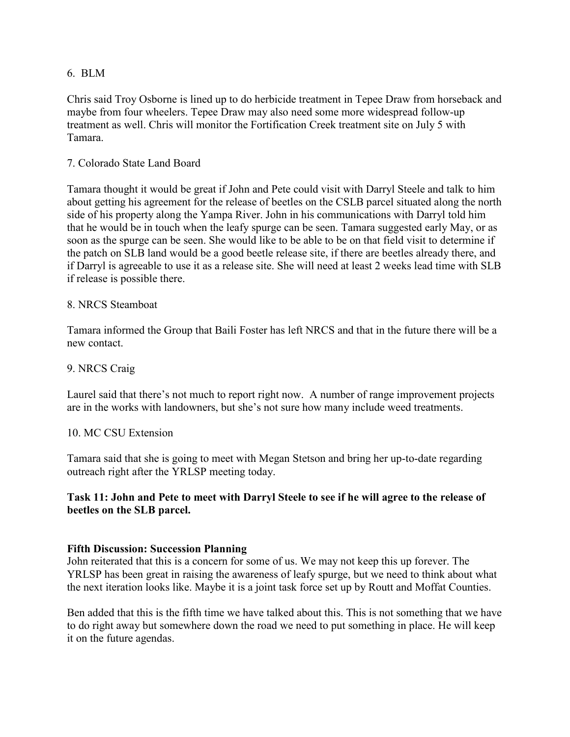#### 6. BLM

Chris said Troy Osborne is lined up to do herbicide treatment in Tepee Draw from horseback and maybe from four wheelers. Tepee Draw may also need some more widespread follow-up treatment as well. Chris will monitor the Fortification Creek treatment site on July 5 with Tamara.

# 7. Colorado State Land Board

Tamara thought it would be great if John and Pete could visit with Darryl Steele and talk to him about getting his agreement for the release of beetles on the CSLB parcel situated along the north side of his property along the Yampa River. John in his communications with Darryl told him that he would be in touch when the leafy spurge can be seen. Tamara suggested early May, or as soon as the spurge can be seen. She would like to be able to be on that field visit to determine if the patch on SLB land would be a good beetle release site, if there are beetles already there, and if Darryl is agreeable to use it as a release site. She will need at least 2 weeks lead time with SLB if release is possible there.

## 8. NRCS Steamboat

Tamara informed the Group that Baili Foster has left NRCS and that in the future there will be a new contact.

#### 9. NRCS Craig

Laurel said that there's not much to report right now. A number of range improvement projects are in the works with landowners, but she's not sure how many include weed treatments.

#### 10. MC CSU Extension

Tamara said that she is going to meet with Megan Stetson and bring her up-to-date regarding outreach right after the YRLSP meeting today.

## **Task 11: John and Pete to meet with Darryl Steele to see if he will agree to the release of beetles on the SLB parcel.**

#### **Fifth Discussion: Succession Planning**

John reiterated that this is a concern for some of us. We may not keep this up forever. The YRLSP has been great in raising the awareness of leafy spurge, but we need to think about what the next iteration looks like. Maybe it is a joint task force set up by Routt and Moffat Counties.

Ben added that this is the fifth time we have talked about this. This is not something that we have to do right away but somewhere down the road we need to put something in place. He will keep it on the future agendas.